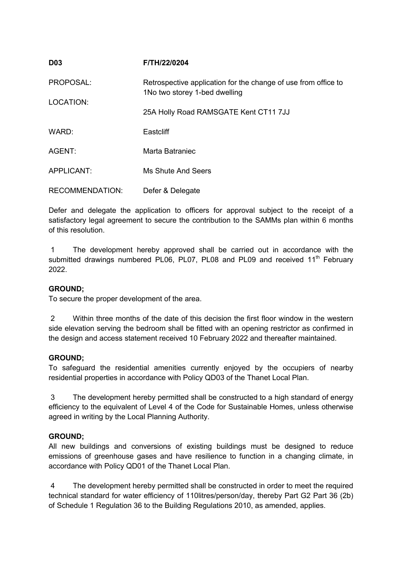| <b>D03</b>             | F/TH/22/0204                                                                                    |
|------------------------|-------------------------------------------------------------------------------------------------|
| PROPOSAL:              | Retrospective application for the change of use from office to<br>1No two storey 1-bed dwelling |
| LOCATION:              | 25A Holly Road RAMSGATE Kent CT11 7JJ                                                           |
| WARD:                  | Eastcliff                                                                                       |
| AGENT:                 | Marta Batraniec                                                                                 |
| APPLICANT:             | Ms Shute And Seers                                                                              |
| <b>RECOMMENDATION:</b> | Defer & Delegate                                                                                |

Defer and delegate the application to officers for approval subject to the receipt of a satisfactory legal agreement to secure the contribution to the SAMMs plan within 6 months of this resolution.

1 The development hereby approved shall be carried out in accordance with the submitted drawings numbered PL06, PL07, PL08 and PL09 and received 11<sup>th</sup> February 2022.

# **GROUND;**

To secure the proper development of the area.

2 Within three months of the date of this decision the first floor window in the western side elevation serving the bedroom shall be fitted with an opening restrictor as confirmed in the design and access statement received 10 February 2022 and thereafter maintained.

#### **GROUND;**

To safeguard the residential amenities currently enjoyed by the occupiers of nearby residential properties in accordance with Policy QD03 of the Thanet Local Plan.

3 The development hereby permitted shall be constructed to a high standard of energy efficiency to the equivalent of Level 4 of the Code for Sustainable Homes, unless otherwise agreed in writing by the Local Planning Authority.

#### **GROUND;**

All new buildings and conversions of existing buildings must be designed to reduce emissions of greenhouse gases and have resilience to function in a changing climate, in accordance with Policy QD01 of the Thanet Local Plan.

4 The development hereby permitted shall be constructed in order to meet the required technical standard for water efficiency of 110litres/person/day, thereby Part G2 Part 36 (2b) of Schedule 1 Regulation 36 to the Building Regulations 2010, as amended, applies.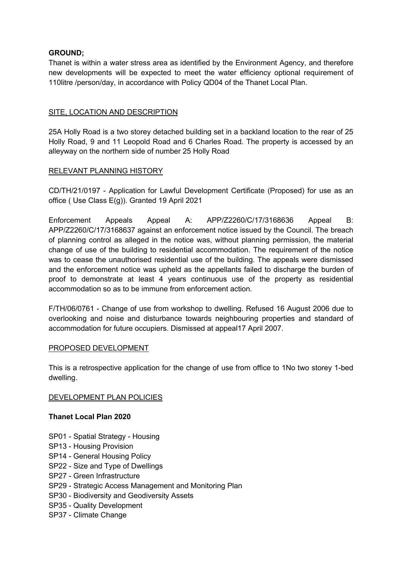# **GROUND;**

Thanet is within a water stress area as identified by the Environment Agency, and therefore new developments will be expected to meet the water efficiency optional requirement of 110litre /person/day, in accordance with Policy QD04 of the Thanet Local Plan.

# SITE, LOCATION AND DESCRIPTION

25A Holly Road is a two storey detached building set in a backland location to the rear of 25 Holly Road, 9 and 11 Leopold Road and 6 Charles Road. The property is accessed by an alleyway on the northern side of number 25 Holly Road

# RELEVANT PLANNING HISTORY

CD/TH/21/0197 - Application for Lawful Development Certificate (Proposed) for use as an office ( Use Class E(g)). Granted 19 April 2021

Enforcement Appeals Appeal A: APP/Z2260/C/17/3168636 Appeal B: APP/Z2260/C/17/3168637 against an enforcement notice issued by the Council. The breach of planning control as alleged in the notice was, without planning permission, the material change of use of the building to residential accommodation. The requirement of the notice was to cease the unauthorised residential use of the building. The appeals were dismissed and the enforcement notice was upheld as the appellants failed to discharge the burden of proof to demonstrate at least 4 years continuous use of the property as residential accommodation so as to be immune from enforcement action.

F/TH/06/0761 - Change of use from workshop to dwelling. Refused 16 August 2006 due to overlooking and noise and disturbance towards neighbouring properties and standard of accommodation for future occupiers. Dismissed at appeal17 April 2007.

#### PROPOSED DEVELOPMENT

This is a retrospective application for the change of use from office to 1No two storey 1-bed dwelling.

#### DEVELOPMENT PLAN POLICIES

#### **Thanet Local Plan 2020**

- SP01 Spatial Strategy Housing
- SP13 Housing Provision
- SP14 General Housing Policy
- SP22 Size and Type of Dwellings
- SP27 Green Infrastructure
- SP29 Strategic Access Management and Monitoring Plan
- SP30 Biodiversity and Geodiversity Assets
- SP35 Quality Development
- SP37 Climate Change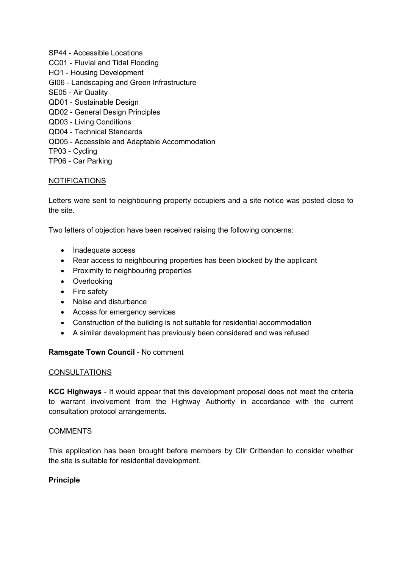SP44 - Accessible Locations CC01 - Fluvial and Tidal Flooding HO1 - Housing Development GI06 - Landscaping and Green Infrastructure SE05 - Air Quality QD01 - Sustainable Design QD02 - General Design Principles QD03 - Living Conditions QD04 - Technical Standards QD05 - Accessible and Adaptable Accommodation TP03 - Cycling TP06 - Car Parking

# NOTIFICATIONS

Letters were sent to neighbouring property occupiers and a site notice was posted close to the site.

Two letters of objection have been received raising the following concerns:

- Inadequate access
- Rear access to neighbouring properties has been blocked by the applicant
- Proximity to neighbouring properties
- Overlooking
- Fire safety
- Noise and disturbance
- Access for emergency services
- Construction of the building is not suitable for residential accommodation
- A similar development has previously been considered and was refused

#### **Ramsgate Town Council** - No comment

#### **CONSULTATIONS**

**KCC Highways** - It would appear that this development proposal does not meet the criteria to warrant involvement from the Highway Authority in accordance with the current consultation protocol arrangements.

#### COMMENTS

This application has been brought before members by Cllr Crittenden to consider whether the site is suitable for residential development.

#### **Principle**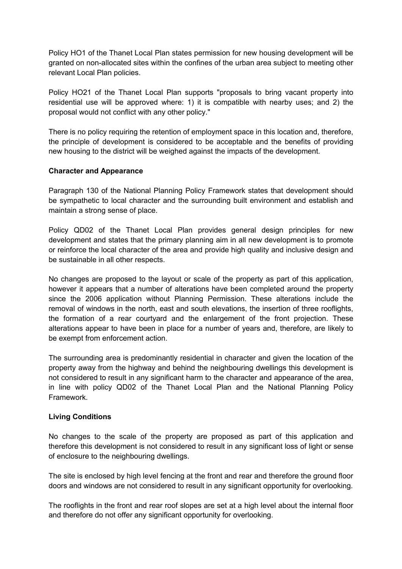Policy HO1 of the Thanet Local Plan states permission for new housing development will be granted on non-allocated sites within the confines of the urban area subject to meeting other relevant Local Plan policies.

Policy HO21 of the Thanet Local Plan supports "proposals to bring vacant property into residential use will be approved where: 1) it is compatible with nearby uses; and 2) the proposal would not conflict with any other policy."

There is no policy requiring the retention of employment space in this location and, therefore, the principle of development is considered to be acceptable and the benefits of providing new housing to the district will be weighed against the impacts of the development.

#### **Character and Appearance**

Paragraph 130 of the National Planning Policy Framework states that development should be sympathetic to local character and the surrounding built environment and establish and maintain a strong sense of place.

Policy QD02 of the Thanet Local Plan provides general design principles for new development and states that the primary planning aim in all new development is to promote or reinforce the local character of the area and provide high quality and inclusive design and be sustainable in all other respects.

No changes are proposed to the layout or scale of the property as part of this application, however it appears that a number of alterations have been completed around the property since the 2006 application without Planning Permission. These alterations include the removal of windows in the north, east and south elevations, the insertion of three rooflights, the formation of a rear courtyard and the enlargement of the front projection. These alterations appear to have been in place for a number of years and, therefore, are likely to be exempt from enforcement action.

The surrounding area is predominantly residential in character and given the location of the property away from the highway and behind the neighbouring dwellings this development is not considered to result in any significant harm to the character and appearance of the area, in line with policy QD02 of the Thanet Local Plan and the National Planning Policy Framework.

#### **Living Conditions**

No changes to the scale of the property are proposed as part of this application and therefore this development is not considered to result in any significant loss of light or sense of enclosure to the neighbouring dwellings.

The site is enclosed by high level fencing at the front and rear and therefore the ground floor doors and windows are not considered to result in any significant opportunity for overlooking.

The rooflights in the front and rear roof slopes are set at a high level about the internal floor and therefore do not offer any significant opportunity for overlooking.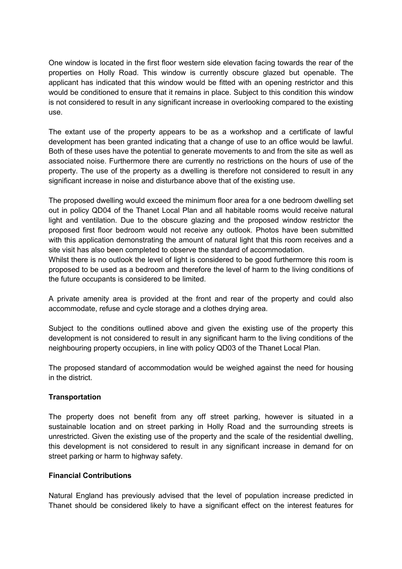One window is located in the first floor western side elevation facing towards the rear of the properties on Holly Road. This window is currently obscure glazed but openable. The applicant has indicated that this window would be fitted with an opening restrictor and this would be conditioned to ensure that it remains in place. Subject to this condition this window is not considered to result in any significant increase in overlooking compared to the existing use.

The extant use of the property appears to be as a workshop and a certificate of lawful development has been granted indicating that a change of use to an office would be lawful. Both of these uses have the potential to generate movements to and from the site as well as associated noise. Furthermore there are currently no restrictions on the hours of use of the property. The use of the property as a dwelling is therefore not considered to result in any significant increase in noise and disturbance above that of the existing use.

The proposed dwelling would exceed the minimum floor area for a one bedroom dwelling set out in policy QD04 of the Thanet Local Plan and all habitable rooms would receive natural light and ventilation. Due to the obscure glazing and the proposed window restrictor the proposed first floor bedroom would not receive any outlook. Photos have been submitted with this application demonstrating the amount of natural light that this room receives and a site visit has also been completed to observe the standard of accommodation.

Whilst there is no outlook the level of light is considered to be good furthermore this room is proposed to be used as a bedroom and therefore the level of harm to the living conditions of the future occupants is considered to be limited.

A private amenity area is provided at the front and rear of the property and could also accommodate, refuse and cycle storage and a clothes drying area.

Subject to the conditions outlined above and given the existing use of the property this development is not considered to result in any significant harm to the living conditions of the neighbouring property occupiers, in line with policy QD03 of the Thanet Local Plan.

The proposed standard of accommodation would be weighed against the need for housing in the district.

# **Transportation**

The property does not benefit from any off street parking, however is situated in a sustainable location and on street parking in Holly Road and the surrounding streets is unrestricted. Given the existing use of the property and the scale of the residential dwelling, this development is not considered to result in any significant increase in demand for on street parking or harm to highway safety.

#### **Financial Contributions**

Natural England has previously advised that the level of population increase predicted in Thanet should be considered likely to have a significant effect on the interest features for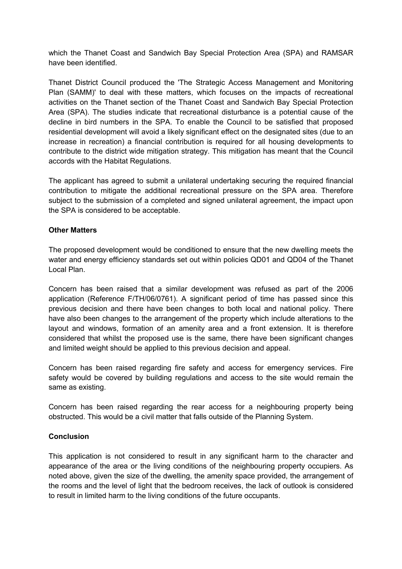which the Thanet Coast and Sandwich Bay Special Protection Area (SPA) and RAMSAR have been identified.

Thanet District Council produced the 'The Strategic Access Management and Monitoring Plan (SAMM)' to deal with these matters, which focuses on the impacts of recreational activities on the Thanet section of the Thanet Coast and Sandwich Bay Special Protection Area (SPA). The studies indicate that recreational disturbance is a potential cause of the decline in bird numbers in the SPA. To enable the Council to be satisfied that proposed residential development will avoid a likely significant effect on the designated sites (due to an increase in recreation) a financial contribution is required for all housing developments to contribute to the district wide mitigation strategy. This mitigation has meant that the Council accords with the Habitat Regulations.

The applicant has agreed to submit a unilateral undertaking securing the required financial contribution to mitigate the additional recreational pressure on the SPA area. Therefore subject to the submission of a completed and signed unilateral agreement, the impact upon the SPA is considered to be acceptable.

#### **Other Matters**

The proposed development would be conditioned to ensure that the new dwelling meets the water and energy efficiency standards set out within policies QD01 and QD04 of the Thanet Local Plan.

Concern has been raised that a similar development was refused as part of the 2006 application (Reference F/TH/06/0761). A significant period of time has passed since this previous decision and there have been changes to both local and national policy. There have also been changes to the arrangement of the property which include alterations to the layout and windows, formation of an amenity area and a front extension. It is therefore considered that whilst the proposed use is the same, there have been significant changes and limited weight should be applied to this previous decision and appeal.

Concern has been raised regarding fire safety and access for emergency services. Fire safety would be covered by building regulations and access to the site would remain the same as existing.

Concern has been raised regarding the rear access for a neighbouring property being obstructed. This would be a civil matter that falls outside of the Planning System.

#### **Conclusion**

This application is not considered to result in any significant harm to the character and appearance of the area or the living conditions of the neighbouring property occupiers. As noted above, given the size of the dwelling, the amenity space provided, the arrangement of the rooms and the level of light that the bedroom receives, the lack of outlook is considered to result in limited harm to the living conditions of the future occupants.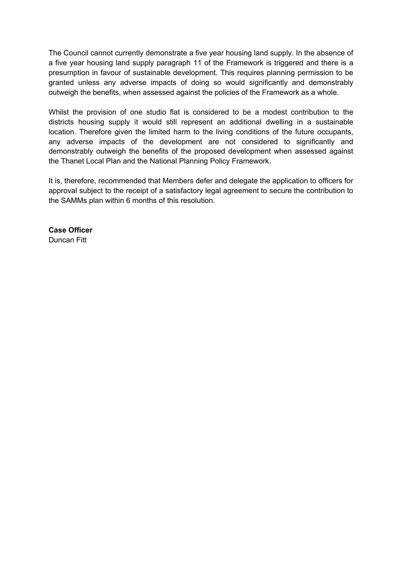The Council cannot currently demonstrate a five year housing land supply. In the absence of a five year housing land supply paragraph 11 of the Framework is triggered and there is a presumption in favour of sustainable development. This requires planning permission to be granted unless any adverse impacts of doing so would significantly and demonstrably outweigh the benefits, when assessed against the policies of the Framework as a whole.

Whilst the provision of one studio flat is considered to be a modest contribution to the districts housing supply it would still represent an additional dwelling in a sustainable location. Therefore given the limited harm to the living conditions of the future occupants, any adverse impacts of the development are not considered to significantly and demonstrably outweigh the benefits of the proposed development when assessed against the Thanet Local Plan and the National Planning Policy Framework.

It is, therefore, recommended that Members defer and delegate the application to officers for approval subject to the receipt of a satisfactory legal agreement to secure the contribution to the SAMMs plan within 6 months of this resolution.

**Case Officer** Duncan Fitt